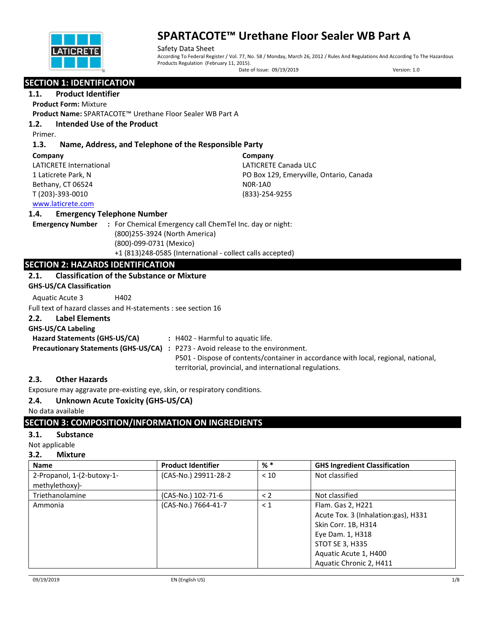

Safety Data Sheet According To Federal Register / Vol. 77, No. 58 / Monday, March 26, 2012 / Rules And Regulations And According To The Hazardous Products Regulation (February 11, 2015).

Date of Issue: 09/19/2019 Version: 1.0

## **SECTION 1: IDENTIFICATION**

### **1.1. Product Identifier**

**Product Form:** Mixture

**Product Name:** SPARTACOTE™ Urethane Floor Sealer WB Part A

## **1.2. Intended Use of the Product**

Primer.

## **1.3. Name, Address, and Telephone of the Responsible Party**

| Company                 | Company                                 |
|-------------------------|-----------------------------------------|
| LATICRETE International | LATICRETE Canada ULC                    |
| 1 Laticrete Park, N     | PO Box 129, Emeryville, Ontario, Canada |
| Bethany, CT 06524       | NOR-1AO                                 |
| T (203)-393-0010        | (833)-254-9255                          |
| www.laticrete.com       |                                         |

#### **1.4. Emergency Telephone Number**

**Emergency Number :** For Chemical Emergency call ChemTel Inc. day or night: (800)255-3924 (North America) (800)-099-0731 (Mexico) +1 (813)248-0585 (International - collect calls accepted)

## **SECTION 2: HAZARDS IDENTIFICATION**

#### **2.1. Classification of the Substance or Mixture**

**GHS-US/CA Classification**

Aquatic Acute 3 H402

Full text of hazard classes and H-statements : see section 16

## **2.2. Label Elements**

#### **GHS-US/CA Labeling**

**Hazard Statements (GHS-US/CA) :** H402 - Harmful to aquatic life. **Precautionary Statements (GHS-US/CA) :** P273 - Avoid release to the environment. P501 - Dispose of contents/container in accordance with local, regional, national, territorial, provincial, and international regulations.

## **2.3. Other Hazards**

Exposure may aggravate pre-existing eye, skin, or respiratory conditions.

## **2.4. Unknown Acute Toxicity (GHS-US/CA)**

No data available

## **SECTION 3: COMPOSITION/INFORMATION ON INGREDIENTS**

#### **3.1. Substance**

Not applicable

#### **3.2. Mixture**

| <b>Name</b>                                  | <b>Product Identifier</b> | $%$ $*$  | <b>GHS Ingredient Classification</b>                                                                                                                                       |
|----------------------------------------------|---------------------------|----------|----------------------------------------------------------------------------------------------------------------------------------------------------------------------------|
| 2-Propanol, 1-(2-butoxy-1-<br>methylethoxy)- | (CAS-No.) 29911-28-2      | < 10     | Not classified                                                                                                                                                             |
| Triethanolamine                              | (CAS-No.) 102-71-6        | $\lt 2$  | Not classified                                                                                                                                                             |
| Ammonia                                      | (CAS-No.) 7664-41-7       | $\leq 1$ | Flam. Gas 2, H221<br>Acute Tox. 3 (Inhalation:gas), H331<br>Skin Corr. 1B, H314<br>Eye Dam. 1, H318<br>STOT SE 3, H335<br>Aquatic Acute 1, H400<br>Aquatic Chronic 2, H411 |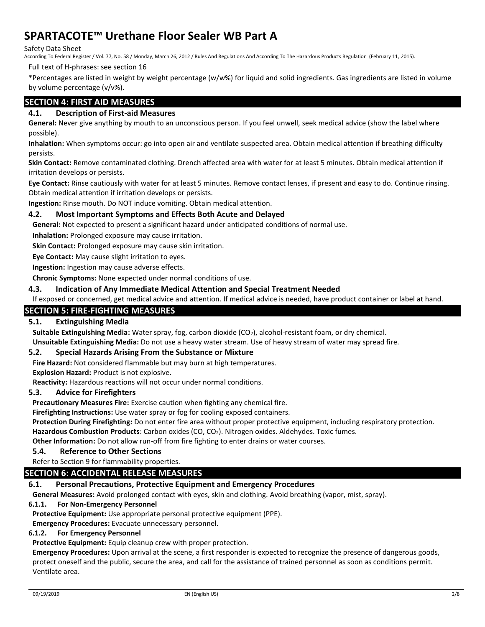Safety Data Sheet

According To Federal Register / Vol. 77, No. 58 / Monday, March 26, 2012 / Rules And Regulations And According To The Hazardous Products Regulation (February 11, 2015).

Full text of H-phrases: see section 16

\*Percentages are listed in weight by weight percentage (w/w%) for liquid and solid ingredients. Gas ingredients are listed in volume by volume percentage (v/v%).

## **SECTION 4: FIRST AID MEASURES**

## **4.1. Description of First-aid Measures**

**General:** Never give anything by mouth to an unconscious person. If you feel unwell, seek medical advice (show the label where possible).

**Inhalation:** When symptoms occur: go into open air and ventilate suspected area. Obtain medical attention if breathing difficulty persists.

**Skin Contact:** Remove contaminated clothing. Drench affected area with water for at least 5 minutes. Obtain medical attention if irritation develops or persists.

**Eye Contact:** Rinse cautiously with water for at least 5 minutes. Remove contact lenses, if present and easy to do. Continue rinsing. Obtain medical attention if irritation develops or persists.

**Ingestion:** Rinse mouth. Do NOT induce vomiting. Obtain medical attention.

#### **4.2. Most Important Symptoms and Effects Both Acute and Delayed**

**General:** Not expected to present a significant hazard under anticipated conditions of normal use.

**Inhalation:** Prolonged exposure may cause irritation.

**Skin Contact:** Prolonged exposure may cause skin irritation.

**Eye Contact:** May cause slight irritation to eyes.

**Ingestion:** Ingestion may cause adverse effects.

**Chronic Symptoms:** None expected under normal conditions of use.

#### **4.3. Indication of Any Immediate Medical Attention and Special Treatment Needed**

If exposed or concerned, get medical advice and attention. If medical advice is needed, have product container or label at hand.

### **SECTION 5: FIRE-FIGHTING MEASURES**

## **5.1. Extinguishing Media**

**Suitable Extinguishing Media:** Water spray, fog, carbon dioxide (CO2), alcohol-resistant foam, or dry chemical.

**Unsuitable Extinguishing Media:** Do not use a heavy water stream. Use of heavy stream of water may spread fire.

#### **5.2. Special Hazards Arising From the Substance or Mixture**

**Fire Hazard:** Not considered flammable but may burn at high temperatures.

**Explosion Hazard:** Product is not explosive.

**Reactivity:** Hazardous reactions will not occur under normal conditions.

#### **5.3. Advice for Firefighters**

**Precautionary Measures Fire:** Exercise caution when fighting any chemical fire.

**Firefighting Instructions:** Use water spray or fog for cooling exposed containers.

**Protection During Firefighting:** Do not enter fire area without proper protective equipment, including respiratory protection.

**Hazardous Combustion Products**: Carbon oxides (CO, CO2). Nitrogen oxides. Aldehydes. Toxic fumes.

**Other Information:** Do not allow run-off from fire fighting to enter drains or water courses.

#### **5.4. Reference to Other Sections**

Refer to Section 9 for flammability properties.

#### **SECTION 6: ACCIDENTAL RELEASE MEASURES**

#### **6.1. Personal Precautions, Protective Equipment and Emergency Procedures**

**General Measures:** Avoid prolonged contact with eyes, skin and clothing. Avoid breathing (vapor, mist, spray).

#### **6.1.1. For Non-Emergency Personnel**

**Protective Equipment:** Use appropriate personal protective equipment (PPE).

**Emergency Procedures:** Evacuate unnecessary personnel.

#### **6.1.2. For Emergency Personnel**

**Protective Equipment:** Equip cleanup crew with proper protection.

**Emergency Procedures:** Upon arrival at the scene, a first responder is expected to recognize the presence of dangerous goods, protect oneself and the public, secure the area, and call for the assistance of trained personnel as soon as conditions permit. Ventilate area.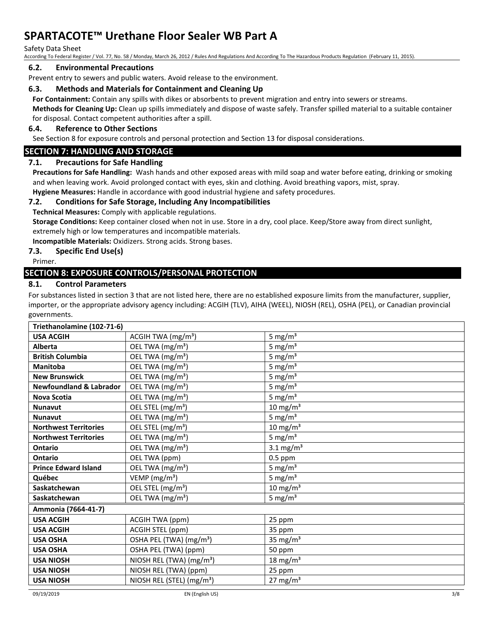#### Safety Data Sheet

According To Federal Register / Vol. 77, No. 58 / Monday, March 26, 2012 / Rules And Regulations And According To The Hazardous Products Regulation (February 11, 2015).

#### **6.2. Environmental Precautions**

Prevent entry to sewers and public waters. Avoid release to the environment.

#### **6.3. Methods and Materials for Containment and Cleaning Up**

**For Containment:** Contain any spills with dikes or absorbents to prevent migration and entry into sewers or streams.

**Methods for Cleaning Up:** Clean up spills immediately and dispose of waste safely. Transfer spilled material to a suitable container for disposal. Contact competent authorities after a spill.

#### **6.4. Reference to Other Sections**

See Section 8 for exposure controls and personal protection and Section 13 for disposal considerations.

#### **SECTION 7: HANDLING AND STORAGE**

#### **7.1. Precautions for Safe Handling**

**Precautions for Safe Handling:** Wash hands and other exposed areas with mild soap and water before eating, drinking or smoking and when leaving work. Avoid prolonged contact with eyes, skin and clothing. Avoid breathing vapors, mist, spray. **Hygiene Measures:** Handle in accordance with good industrial hygiene and safety procedures.

#### **7.2. Conditions for Safe Storage, Including Any Incompatibilities**

**Technical Measures:** Comply with applicable regulations.

**Storage Conditions:** Keep container closed when not in use. Store in a dry, cool place. Keep/Store away from direct sunlight, extremely high or low temperatures and incompatible materials.

**Incompatible Materials:** Oxidizers. Strong acids. Strong bases.

#### **7.3. Specific End Use(s)**

Primer.

#### **SECTION 8: EXPOSURE CONTROLS/PERSONAL PROTECTION**

#### **8.1. Control Parameters**

For substances listed in section 3 that are not listed here, there are no established exposure limits from the manufacturer, supplier, importer, or the appropriate advisory agency including: ACGIH (TLV), AIHA (WEEL), NIOSH (REL), OSHA (PEL), or Canadian provincial governments.

| Triethanolamine (102-71-6)         |                                       |                      |  |
|------------------------------------|---------------------------------------|----------------------|--|
| <b>USA ACGIH</b>                   | ACGIH TWA (mg/m <sup>3</sup> )        | 5 mg/ $m3$           |  |
| <b>Alberta</b>                     | OEL TWA (mg/m <sup>3</sup> )          | 5 mg/ $m3$           |  |
| <b>British Columbia</b>            | OEL TWA (mg/m <sup>3</sup> )          | 5 mg/ $m3$           |  |
| Manitoba                           | OEL TWA (mg/m <sup>3</sup> )          | 5 mg/ $m3$           |  |
| <b>New Brunswick</b>               | OEL TWA (mg/m <sup>3</sup> )          | 5 mg/ $m3$           |  |
| <b>Newfoundland &amp; Labrador</b> | OEL TWA (mg/m <sup>3</sup> )          | 5 mg/ $m3$           |  |
| <b>Nova Scotia</b>                 | OEL TWA (mg/m <sup>3</sup> )          | 5 mg/ $m3$           |  |
| <b>Nunavut</b>                     | OEL STEL (mg/m <sup>3</sup> )         | 10 mg/m $3$          |  |
| <b>Nunavut</b>                     | OEL TWA (mg/m <sup>3</sup> )          | 5 mg/ $m3$           |  |
| <b>Northwest Territories</b>       | OEL STEL (mg/m <sup>3</sup> )         | 10 mg/m $3$          |  |
| <b>Northwest Territories</b>       | OEL TWA (mg/m <sup>3</sup> )          | 5 mg/ $m3$           |  |
| Ontario                            | OEL TWA (mg/m <sup>3</sup> )          | 3.1 $mg/m^3$         |  |
| <b>Ontario</b>                     | OEL TWA (ppm)                         | $0.5$ ppm            |  |
| <b>Prince Edward Island</b>        | OEL TWA (mg/m <sup>3</sup> )          | 5 mg/ $m3$           |  |
| Québec                             | VEMP (mg/m <sup>3</sup> )             | 5 mg/ $m3$           |  |
| Saskatchewan                       | OEL STEL (mg/m <sup>3</sup> )         | 10 mg/m $3$          |  |
| Saskatchewan                       | OEL TWA (mg/m <sup>3</sup> )          | 5 mg/ $m3$           |  |
| Ammonia (7664-41-7)                |                                       |                      |  |
| <b>USA ACGIH</b>                   | ACGIH TWA (ppm)                       | 25 ppm               |  |
| <b>USA ACGIH</b>                   | ACGIH STEL (ppm)                      | 35 ppm               |  |
| <b>USA OSHA</b>                    | OSHA PEL (TWA) (mg/m <sup>3</sup> )   | 35 mg/m <sup>3</sup> |  |
| <b>USA OSHA</b>                    | OSHA PEL (TWA) (ppm)                  | 50 ppm               |  |
| <b>USA NIOSH</b>                   | NIOSH REL (TWA) (mg/m <sup>3</sup> )  | 18 mg/m $3$          |  |
| <b>USA NIOSH</b>                   | NIOSH REL (TWA) (ppm)                 | 25 ppm               |  |
| <b>USA NIOSH</b>                   | NIOSH REL (STEL) (mg/m <sup>3</sup> ) | $27 \text{ mg/m}^3$  |  |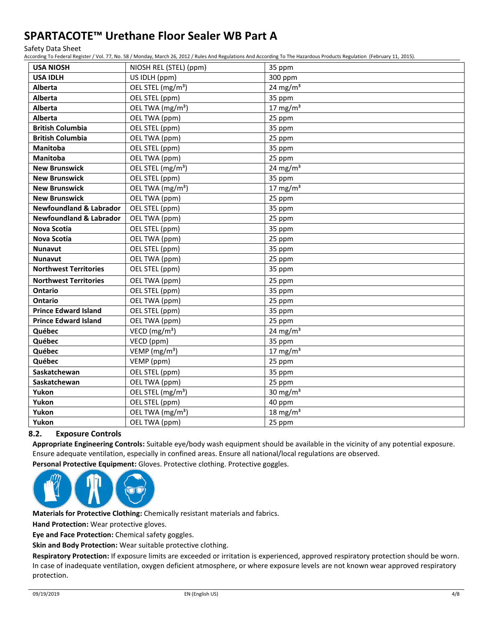Safety Data Sheet

According To Federal Register / Vol. 77, No. 58 / Monday, March 26, 2012 / Rules And Regulations And According To The Hazardous Products Regulation (February 11, 2015).

|                | <b>USA NIOSH</b>                   | NIOSH REL (STEL) (ppm)        | 35 ppm                           |
|----------------|------------------------------------|-------------------------------|----------------------------------|
|                | <b>USA IDLH</b>                    | US IDLH (ppm)                 | 300 ppm                          |
| <b>Alberta</b> |                                    | OEL STEL (mg/m <sup>3</sup> ) | 24 mg/m $3$                      |
| Alberta        |                                    | OEL STEL (ppm)                | 35 ppm                           |
| Alberta        |                                    | OEL TWA (mg/m <sup>3</sup> )  | 17 mg/m $3$                      |
| Alberta        |                                    | OEL TWA (ppm)                 | 25 ppm                           |
|                | <b>British Columbia</b>            | OEL STEL (ppm)                | 35 ppm                           |
|                | <b>British Columbia</b>            | OEL TWA (ppm)                 | 25 ppm                           |
|                | <b>Manitoba</b>                    | OEL STEL (ppm)                | 35 ppm                           |
|                | Manitoba                           | OEL TWA (ppm)                 | 25 ppm                           |
|                | <b>New Brunswick</b>               | OEL STEL (mg/m <sup>3</sup> ) | 24 mg/m $3$                      |
|                | <b>New Brunswick</b>               | OEL STEL (ppm)                | 35 ppm                           |
|                | <b>New Brunswick</b>               | OEL TWA (mg/m <sup>3</sup> )  | 17 mg/m $3$                      |
|                | <b>New Brunswick</b>               | OEL TWA (ppm)                 | 25 ppm                           |
|                | <b>Newfoundland &amp; Labrador</b> | OEL STEL (ppm)                | 35 ppm                           |
|                | <b>Newfoundland &amp; Labrador</b> | OEL TWA (ppm)                 | 25 ppm                           |
|                | <b>Nova Scotia</b>                 | OEL STEL (ppm)                | 35 ppm                           |
|                | <b>Nova Scotia</b>                 | OEL TWA (ppm)                 | 25 ppm                           |
| <b>Nunavut</b> |                                    | OEL STEL (ppm)                | 35 ppm                           |
| <b>Nunavut</b> |                                    | OEL TWA (ppm)                 | 25 ppm                           |
|                | <b>Northwest Territories</b>       | OEL STEL (ppm)                | 35 ppm                           |
|                | <b>Northwest Territories</b>       | OEL TWA (ppm)                 | 25 ppm                           |
| Ontario        |                                    | OEL STEL (ppm)                | 35 ppm                           |
| <b>Ontario</b> |                                    | OEL TWA (ppm)                 | 25 ppm                           |
|                | <b>Prince Edward Island</b>        | OEL STEL (ppm)                | 35 ppm                           |
|                | <b>Prince Edward Island</b>        | OEL TWA (ppm)                 | 25 ppm                           |
| Québec         |                                    | VECD ( $mg/m3$ )              | 24 mg/m $3$                      |
| Québec         |                                    | VECD (ppm)                    | 35 ppm                           |
| Québec         |                                    | VEMP ( $mg/m3$ )              | 17 mg/m $3$                      |
| Québec         |                                    | VEMP (ppm)                    | 25 ppm                           |
|                | Saskatchewan                       | OEL STEL (ppm)                | 35 ppm                           |
|                | Saskatchewan                       | OEL TWA (ppm)                 | 25 ppm                           |
| Yukon          |                                    | OEL STEL (mg/m <sup>3</sup> ) | 30 mg/m $3$                      |
| Yukon          |                                    | OEL STEL (ppm)                | 40 ppm                           |
| Yukon          |                                    | OEL TWA (mg/m <sup>3</sup> )  | $\frac{1}{18}$ mg/m <sup>3</sup> |
| Yukon          |                                    | OEL TWA (ppm)                 | 25 ppm                           |
|                |                                    |                               |                                  |

## **8.2. Exposure Controls**

**Appropriate Engineering Controls:** Suitable eye/body wash equipment should be available in the vicinity of any potential exposure. Ensure adequate ventilation, especially in confined areas. Ensure all national/local regulations are observed. **Personal Protective Equipment:** Gloves. Protective clothing. Protective goggles.



**Materials for Protective Clothing:** Chemically resistant materials and fabrics.

**Hand Protection:** Wear protective gloves.

**Eye and Face Protection:** Chemical safety goggles.

**Skin and Body Protection:** Wear suitable protective clothing.

**Respiratory Protection:** If exposure limits are exceeded or irritation is experienced, approved respiratory protection should be worn. In case of inadequate ventilation, oxygen deficient atmosphere, or where exposure levels are not known wear approved respiratory protection.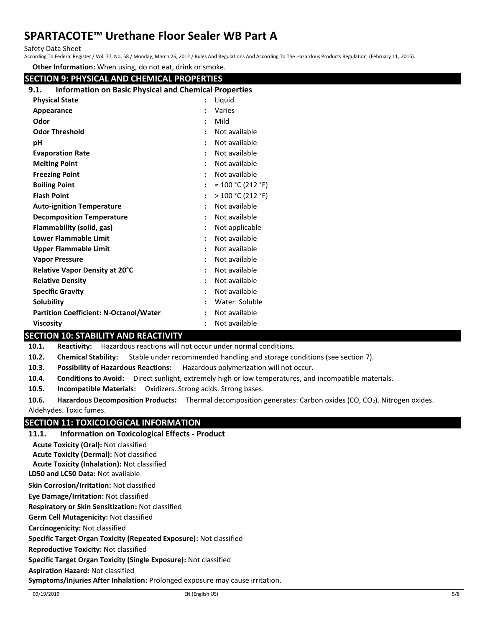Safety Data Sheet

According To Federal Register / Vol. 77, No. 58 / Monday, March 26, 2012 / Rules And Regulations And According To The Hazardous Products Regulation (February 11, 2015).

**Other Information:** When using, do not eat, drink or smoke.

| <b>SECTION 9: PHYSICAL AND CHEMICAL PROPERTIES</b>                   |                                         |  |  |
|----------------------------------------------------------------------|-----------------------------------------|--|--|
| <b>Information on Basic Physical and Chemical Properties</b><br>9.1. |                                         |  |  |
| <b>Physical State</b>                                                | Liquid                                  |  |  |
| Appearance                                                           | Varies                                  |  |  |
| Odor                                                                 | Mild                                    |  |  |
| <b>Odor Threshold</b>                                                | Not available                           |  |  |
| рH                                                                   | Not available                           |  |  |
| <b>Evaporation Rate</b>                                              | Not available                           |  |  |
| <b>Melting Point</b>                                                 | Not available                           |  |  |
| <b>Freezing Point</b>                                                | Not available                           |  |  |
| <b>Boiling Point</b>                                                 | $\approx 100 \degree C (212 \degree F)$ |  |  |
| <b>Flash Point</b>                                                   | >100 °C (212 °F)                        |  |  |
| <b>Auto-ignition Temperature</b>                                     | Not available                           |  |  |
| <b>Decomposition Temperature</b>                                     | Not available                           |  |  |
| Flammability (solid, gas)                                            | Not applicable                          |  |  |
| <b>Lower Flammable Limit</b>                                         | Not available                           |  |  |
| <b>Upper Flammable Limit</b>                                         | Not available                           |  |  |
| <b>Vapor Pressure</b>                                                | Not available                           |  |  |
| Relative Vapor Density at 20°C                                       | Not available                           |  |  |
| <b>Relative Density</b>                                              | Not available                           |  |  |
| <b>Specific Gravity</b>                                              | Not available                           |  |  |
| Solubility                                                           | Water: Soluble                          |  |  |
| <b>Partition Coefficient: N-Octanol/Water</b>                        | Not available                           |  |  |
| <b>Viscosity</b>                                                     | Not available                           |  |  |

## **SECTION 10: STABILITY AND REACTIVITY**

**10.1. Reactivity:** Hazardous reactions will not occur under normal conditions.

**10.2. Chemical Stability:** Stable under recommended handling and storage conditions (see section 7).

**10.3. Possibility of Hazardous Reactions:** Hazardous polymerization will not occur.

**10.4. Conditions to Avoid:** Direct sunlight, extremely high or low temperatures, and incompatible materials.

**10.5. Incompatible Materials:** Oxidizers. Strong acids. Strong bases.

**10.6. Hazardous Decomposition Products:** Thermal decomposition generates: Carbon oxides (CO, CO2). Nitrogen oxides. Aldehydes. Toxic fumes.

## **SECTION 11: TOXICOLOGICAL INFORMATION**

**11.1. Information on Toxicological Effects - Product**

**Acute Toxicity (Oral):** Not classified

**Acute Toxicity (Dermal):** Not classified

**Acute Toxicity (Inhalation):** Not classified

**LD50 and LC50 Data:** Not available

**Skin Corrosion/Irritation:** Not classified

**Eye Damage/Irritation:** Not classified

**Respiratory or Skin Sensitization:** Not classified

**Germ Cell Mutagenicity:** Not classified

**Carcinogenicity:** Not classified

**Specific Target Organ Toxicity (Repeated Exposure):** Not classified

**Reproductive Toxicity:** Not classified

**Specific Target Organ Toxicity (Single Exposure):** Not classified

**Aspiration Hazard:** Not classified

**Symptoms/Injuries After Inhalation:** Prolonged exposure may cause irritation.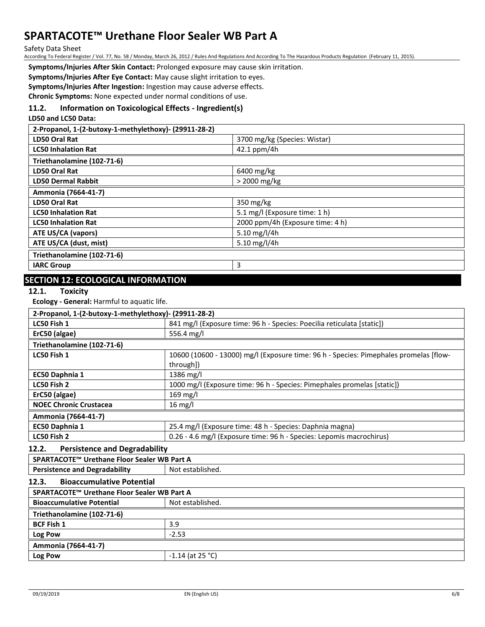Safety Data Sheet

According To Federal Register / Vol. 77, No. 58 / Monday, March 26, 2012 / Rules And Regulations And According To The Hazardous Products Regulation (February 11, 2015).

**Symptoms/Injuries After Skin Contact:** Prolonged exposure may cause skin irritation.

**Symptoms/Injuries After Eye Contact:** May cause slight irritation to eyes.

**Symptoms/Injuries After Ingestion:** Ingestion may cause adverse effects.

**Chronic Symptoms:** None expected under normal conditions of use.

### **11.2. Information on Toxicological Effects - Ingredient(s)**

**LD50 and LC50 Data:**

| 2-Propanol, 1-(2-butoxy-1-methylethoxy)- (29911-28-2) |                                  |  |
|-------------------------------------------------------|----------------------------------|--|
| LD50 Oral Rat                                         | 3700 mg/kg (Species: Wistar)     |  |
| <b>LC50 Inhalation Rat</b>                            | 42.1 ppm/4h                      |  |
| Triethanolamine (102-71-6)                            |                                  |  |
| LD50 Oral Rat                                         | 6400 mg/kg                       |  |
| <b>LD50 Dermal Rabbit</b>                             | > 2000 mg/kg                     |  |
| Ammonia (7664-41-7)                                   |                                  |  |
| LD50 Oral Rat                                         | 350 mg/kg                        |  |
| <b>LC50 Inhalation Rat</b>                            | 5.1 mg/l (Exposure time: 1 h)    |  |
| <b>LC50 Inhalation Rat</b>                            | 2000 ppm/4h (Exposure time: 4 h) |  |
| ATE US/CA (vapors)                                    | 5.10 mg/l/4h                     |  |
| ATE US/CA (dust, mist)                                | 5.10 mg/l/4h                     |  |
| Triethanolamine (102-71-6)                            |                                  |  |
| <b>IARC Group</b>                                     | 3                                |  |
|                                                       |                                  |  |

## **SECTION 12: ECOLOGICAL INFORMATION**

#### **12.1. Toxicity**

**Ecology - General:** Harmful to aquatic life.

| 2-Propanol, 1-(2-butoxy-1-methylethoxy)- (29911-28-2) |                                                                                                    |  |
|-------------------------------------------------------|----------------------------------------------------------------------------------------------------|--|
| LC50 Fish 1                                           | 841 mg/l (Exposure time: 96 h - Species: Poecilia reticulata [static])                             |  |
| ErC50 (algae)                                         | 556.4 mg/l                                                                                         |  |
| Triethanolamine (102-71-6)                            |                                                                                                    |  |
| LC50 Fish 1                                           | 10600 (10600 - 13000) mg/l (Exposure time: 96 h - Species: Pimephales promelas [flow-<br>through]) |  |
| EC50 Daphnia 1                                        | 1386 mg/l                                                                                          |  |
| LC50 Fish 2                                           | 1000 mg/l (Exposure time: 96 h - Species: Pimephales promelas [static])                            |  |
| ErC50 (algae)                                         | 169 mg/l                                                                                           |  |
| <b>NOEC Chronic Crustacea</b>                         | $16 \text{ mg/l}$                                                                                  |  |
| Ammonia (7664-41-7)                                   |                                                                                                    |  |
| EC50 Daphnia 1                                        | 25.4 mg/l (Exposure time: 48 h - Species: Daphnia magna)                                           |  |
| LC50 Fish 2                                           | 0.26 - 4.6 mg/l (Exposure time: 96 h - Species: Lepomis macrochirus)                               |  |
| 122<br><b>Dorcictonce and Dogradability</b>           |                                                                                                    |  |

## **12.2. Persistence and Degradability**

| IZ.Z.<br>Persistence and Degiadability      |                    |  |
|---------------------------------------------|--------------------|--|
| SPARTACOTE™ Urethane Floor Sealer WB Part A |                    |  |
| <b>Persistence and Degradability</b>        | Not established.   |  |
| <b>Bioaccumulative Potential</b><br>12.3.   |                    |  |
| SPARTACOTE™ Urethane Floor Sealer WB Part A |                    |  |
| <b>Bioaccumulative Potential</b>            | Not established.   |  |
| Triethanolamine (102-71-6)                  |                    |  |
| <b>BCF Fish 1</b>                           | 3.9                |  |
| Log Pow                                     | $-2.53$            |  |
| Ammonia (7664-41-7)                         |                    |  |
| Log Pow                                     | $-1.14$ (at 25 °C) |  |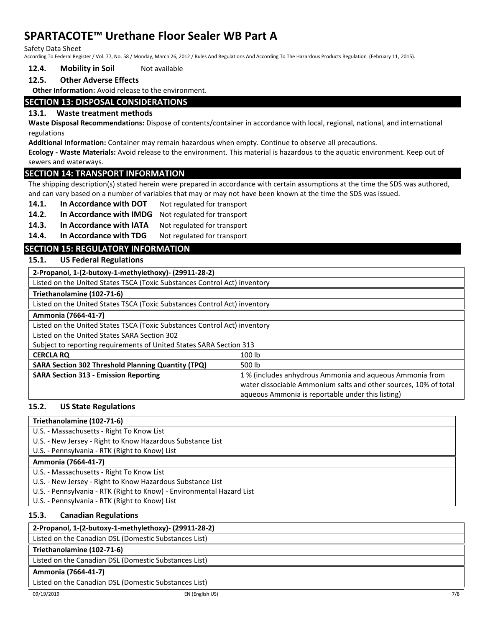Safety Data Sheet

According To Federal Register / Vol. 77, No. 58 / Monday, March 26, 2012 / Rules And Regulations And According To The Hazardous Products Regulation (February 11, 2015).

#### **12.4. Mobility in Soil** Not available

### **12.5. Other Adverse Effects**

**Other Information:** Avoid release to the environment.

### **SECTION 13: DISPOSAL CONSIDERATIONS**

#### **13.1. Waste treatment methods**

**Waste Disposal Recommendations:** Dispose of contents/container in accordance with local, regional, national, and international regulations

**Additional Information:** Container may remain hazardous when empty. Continue to observe all precautions.

**Ecology - Waste Materials:** Avoid release to the environment. This material is hazardous to the aquatic environment. Keep out of sewers and waterways.

#### **SECTION 14: TRANSPORT INFORMATION**

The shipping description(s) stated herein were prepared in accordance with certain assumptions at the time the SDS was authored, and can vary based on a number of variables that may or may not have been known at the time the SDS was issued.

- 14.1. In Accordance with DOT Not regulated for transport
- **14.2. In Accordance with IMDG** Not regulated for transport
- **14.3. In Accordance with IATA** Not regulated for transport

14.4. In Accordance with TDG Not regulated for transport

## **SECTION 15: REGULATORY INFORMATION**

#### **15.1. US Federal Regulations**

**2-Propanol, 1-(2-butoxy-1-methylethoxy)- (29911-28-2)**

Listed on the United States TSCA (Toxic Substances Control Act) inventory

#### **Triethanolamine (102-71-6)**

Listed on the United States TSCA (Toxic Substances Control Act) inventory

#### **Ammonia (7664-41-7)**

Listed on the United States TSCA (Toxic Substances Control Act) inventory

Listed on the United States SARA Section 302

Subject to reporting requirements of United States SARA Section 313

| <b>CERCLA RQ</b>                                          | 100 lb                                                           |
|-----------------------------------------------------------|------------------------------------------------------------------|
| <b>SARA Section 302 Threshold Planning Quantity (TPQ)</b> | 500 lb                                                           |
| <b>SARA Section 313 - Emission Reporting</b>              | 1% (includes anhydrous Ammonia and aqueous Ammonia from          |
|                                                           | water dissociable Ammonium salts and other sources, 10% of total |
|                                                           | aqueous Ammonia is reportable under this listing)                |

#### **15.2. US State Regulations**

#### **Triethanolamine (102-71-6)**

- U.S. Massachusetts Right To Know List
- U.S. New Jersey Right to Know Hazardous Substance List

U.S. - Pennsylvania - RTK (Right to Know) List

#### **Ammonia (7664-41-7)**

- U.S. Massachusetts Right To Know List
- U.S. New Jersey Right to Know Hazardous Substance List
- U.S. Pennsylvania RTK (Right to Know) Environmental Hazard List
- U.S. Pennsylvania RTK (Right to Know) List

#### **15.3. Canadian Regulations**

## **2-Propanol, 1-(2-butoxy-1-methylethoxy)- (29911-28-2)**

Listed on the Canadian DSL (Domestic Substances List)

## **Triethanolamine (102-71-6)**

Listed on the Canadian DSL (Domestic Substances List)

**Ammonia (7664-41-7)**

Listed on the Canadian DSL (Domestic Substances List)